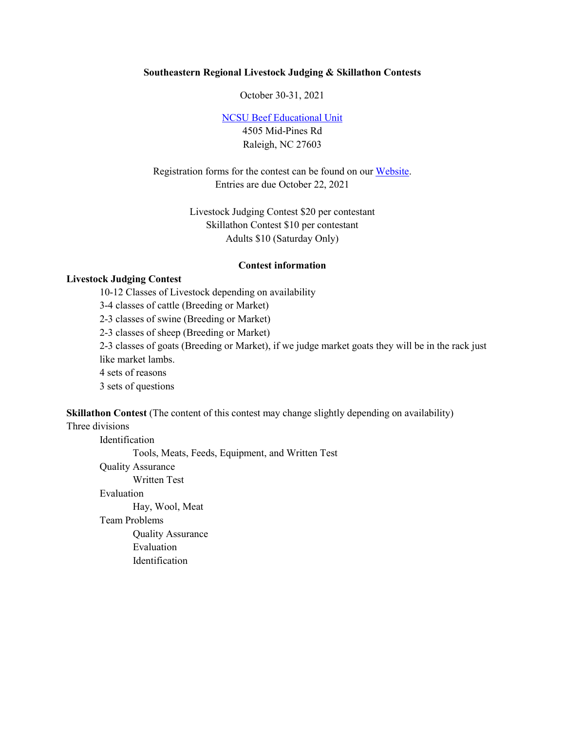#### **Southeastern Regional Livestock Judging & Skillathon Contests**

October 30-31, 2021

[NCSU Beef Educational Unit](http://www4.ncsu.edu/%7Ebjjennin/) 4505 Mid-Pines Rd Raleigh, NC 27603

Registration forms for the contest can be found on our [Website.](https://youthlivestock.ces.ncsu.edu/contest-entry-forms-and-applications/) Entries are due October 22, 2021

> Livestock Judging Contest \$20 per contestant Skillathon Contest \$10 per contestant Adults \$10 (Saturday Only)

#### **Contest information**

## **Livestock Judging Contest**

10-12 Classes of Livestock depending on availability 3-4 classes of cattle (Breeding or Market) 2-3 classes of swine (Breeding or Market) 2-3 classes of sheep (Breeding or Market) 2-3 classes of goats (Breeding or Market), if we judge market goats they will be in the rack just like market lambs. 4 sets of reasons 3 sets of questions

**Skillathon Contest** (The content of this contest may change slightly depending on availability)

# Three divisions

Identification Tools, Meats, Feeds, Equipment, and Written Test Quality Assurance Written Test Evaluation Hay, Wool, Meat Team Problems Quality Assurance Evaluation Identification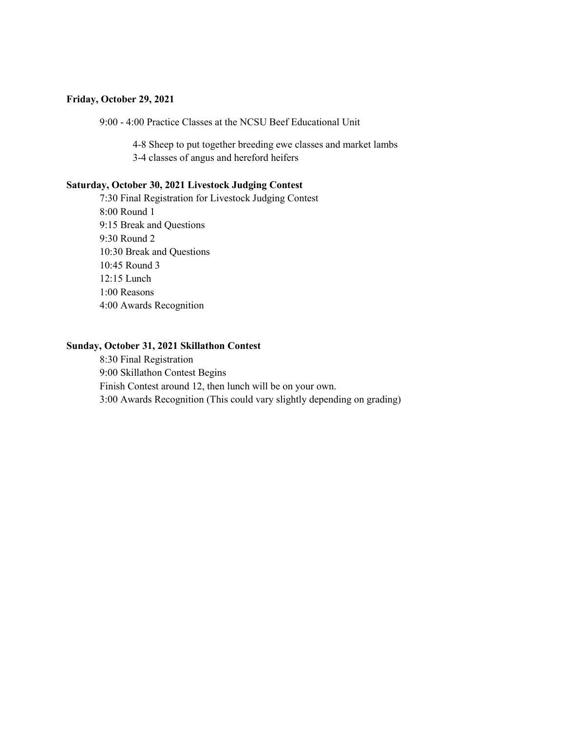### **Friday, October 29, 2021**

9:00 - 4:00 Practice Classes at the NCSU Beef Educational Unit

4-8 Sheep to put together breeding ewe classes and market lambs 3-4 classes of angus and hereford heifers

### **Saturday, October 30, 2021 Livestock Judging Contest**

7:30 Final Registration for Livestock Judging Contest 8:00 Round 1 9:15 Break and Questions 9:30 Round 2 10:30 Break and Questions 10:45 Round 3 12:15 Lunch 1:00 Reasons 4:00 Awards Recognition

#### **Sunday, October 31, 2021 Skillathon Contest**

8:30 Final Registration 9:00 Skillathon Contest Begins Finish Contest around 12, then lunch will be on your own. 3:00 Awards Recognition (This could vary slightly depending on grading)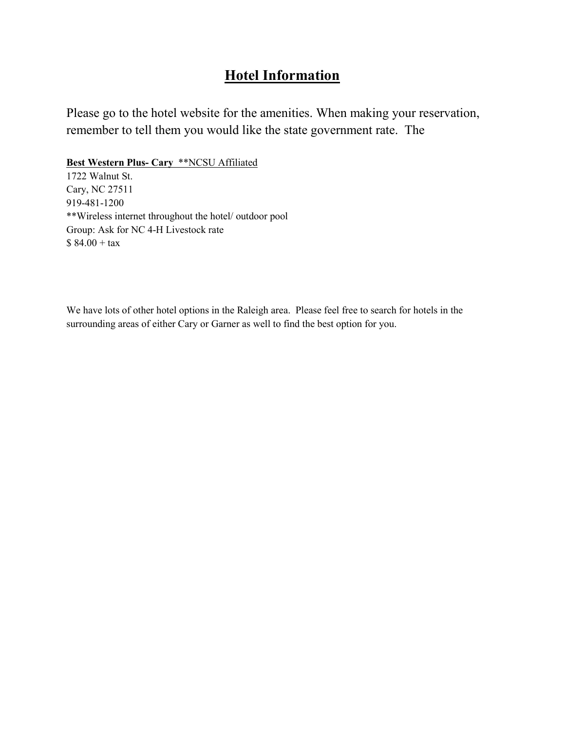# **Hotel Information**

Please go to the hotel website for the amenities. When making your reservation, remember to tell them you would like the state government rate. The

**Best Western Plus- Cary** \*\*NCSU Affiliated

1722 Walnut St. Cary, NC 27511 919-481-1200 \*\*Wireless internet throughout the hotel/ outdoor pool Group: Ask for NC 4-H Livestock rate  $$84.00 + tax$ 

We have lots of other hotel options in the Raleigh area. Please feel free to search for hotels in the surrounding areas of either Cary or Garner as well to find the best option for you.